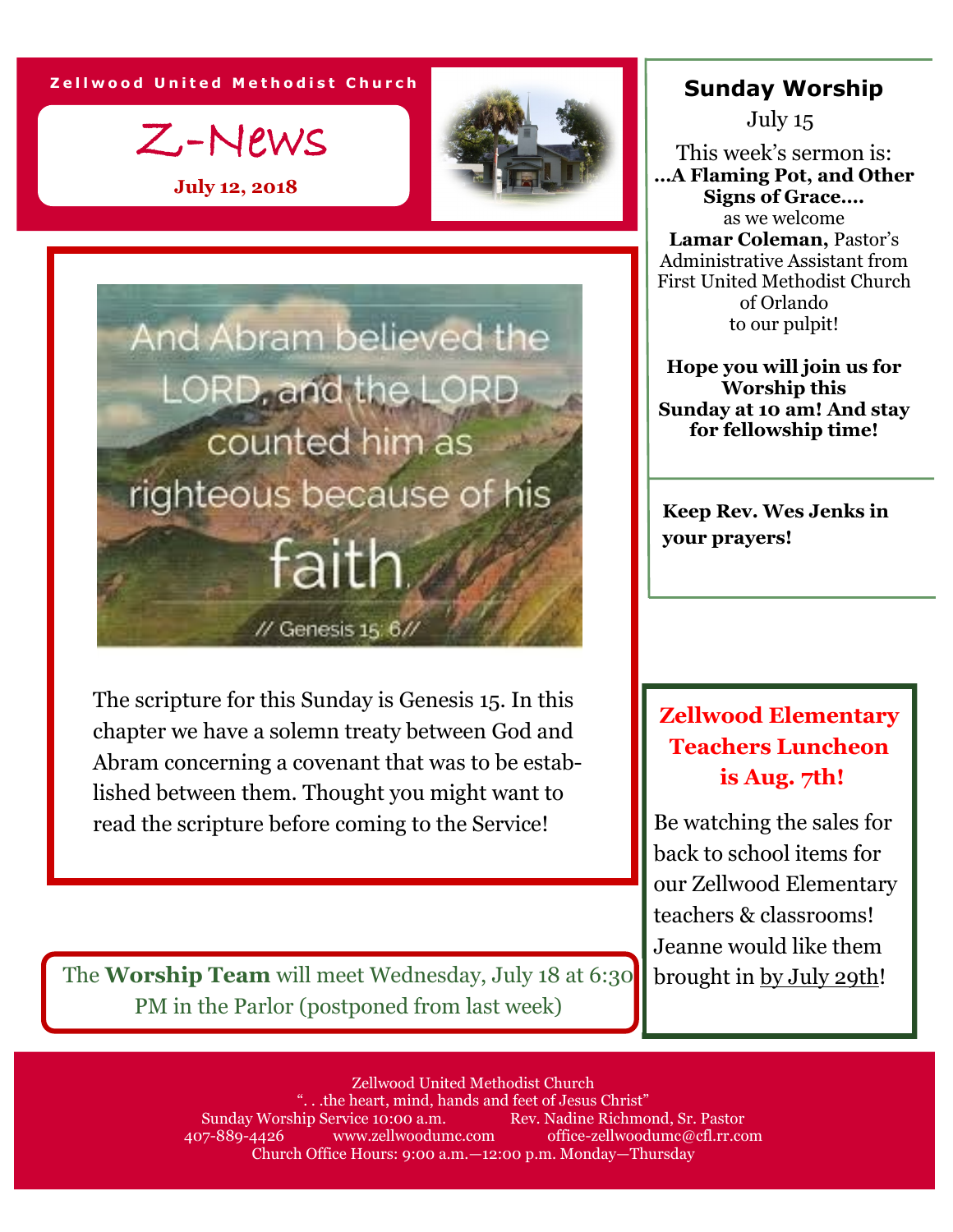**Z e l l w o o d U n i t e d M e t h o d i s t C h u r c h**

Z-News

**July 12, 2018**





The scripture for this Sunday is Genesis 15. In this chapter we have a solemn treaty between God and Abram concerning a covenant that was to be established between them. Thought you might want to read the scripture before coming to the Service!

**Sunday Worship**

July 15

This week's sermon is: **…A Flaming Pot, and Other Signs of Grace….** as we welcome **Lamar Coleman,** Pastor's Administrative Assistant from First United Methodist Church of Orlando to our pulpit!

**Hope you will join us for Worship this Sunday at 10 am! And stay for fellowship time!**

**Keep Rev. Wes Jenks in your prayers!**

## **Zellwood Elementary Teachers Luncheon is Aug. 7th!**

Be watching the sales for back to school items for our Zellwood Elementary teachers & classrooms! Jeanne would like them brought in by July 29th!

The **Worship Team** will meet Wednesday, July 18 at 6:30 PM in the Parlor (postponed from last week)

> Zellwood United Methodist Church ". . .the heart, mind, hands and feet of Jesus Christ" Sunday Worship Service 10:00 a.m. Rev. Nadine Richmond, Sr. Pastor 407-889-4426 www.zellwoodumc.com office-zellwoodumc@cfl.rr.com Church Office Hours: 9:00 a.m.—12:00 p.m. Monday—Thursday